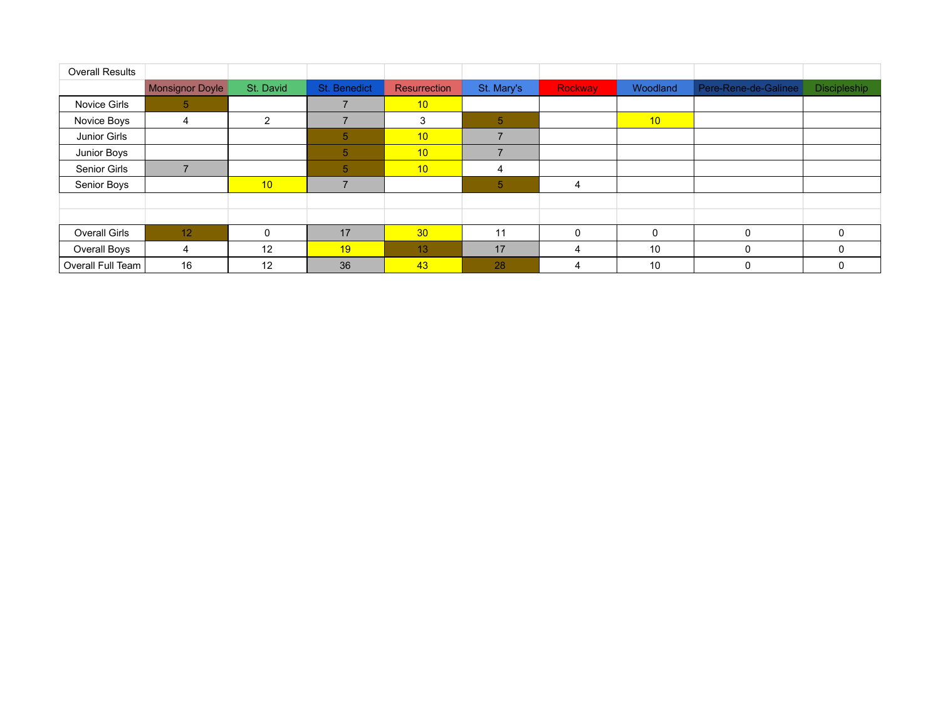| <b>Overall Results</b> |                        |           |                |                 |                          |         |                 |                      |                     |
|------------------------|------------------------|-----------|----------------|-----------------|--------------------------|---------|-----------------|----------------------|---------------------|
|                        | <b>Monsignor Doyle</b> | St. David | St. Benedict   | Resurrection    | St. Mary's               | Rockway | Woodland        | Pere-Rene-de-Galinee | <b>Discipleship</b> |
| Novice Girls           | 5                      |           | 7              | 10 <sup>1</sup> |                          |         |                 |                      |                     |
| Novice Boys            | 4                      | 2         |                | 3               | 5                        |         | 10 <sup>°</sup> |                      |                     |
| Junior Girls           |                        |           | 5              | 10 <sup>1</sup> | $\overline{\phantom{a}}$ |         |                 |                      |                     |
| Junior Boys            |                        |           | 5              | 10              | $\overline{\phantom{a}}$ |         |                 |                      |                     |
| Senior Girls           |                        |           | $\overline{5}$ | 10              | 4                        |         |                 |                      |                     |
| Senior Boys            |                        | 10        | ⇁              |                 | $\overline{5}$           | 4       |                 |                      |                     |
|                        |                        |           |                |                 |                          |         |                 |                      |                     |
|                        |                        |           |                |                 |                          |         |                 |                      |                     |
| <b>Overall Girls</b>   | 12                     | $\Omega$  | 17             | 30              | 11                       |         | $\mathbf 0$     | $\Omega$             |                     |
| Overall Boys           | 4                      | 12        | 19             | 13              | 17                       |         | 10              | $\Omega$             |                     |
| Overall Full Team      | 16                     | 12        | 36             | 43              | 28                       | 4       | 10              | 0                    |                     |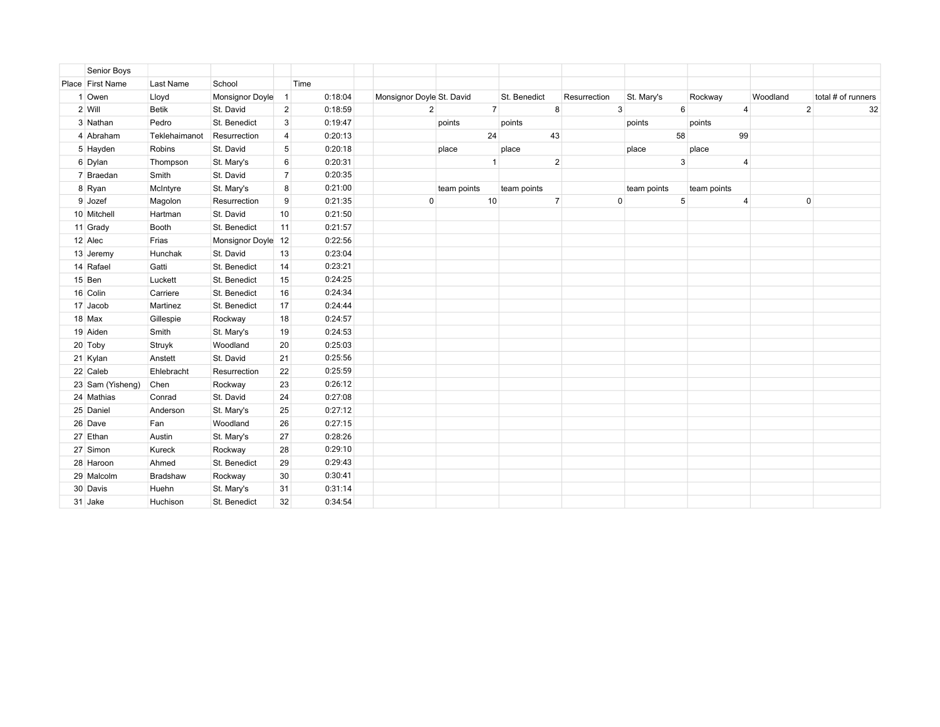| Senior Boys      |               |                    |                |         |                           |             |                |              |                |              |             |                 |             |                |              |                    |  |
|------------------|---------------|--------------------|----------------|---------|---------------------------|-------------|----------------|--------------|----------------|--------------|-------------|-----------------|-------------|----------------|--------------|--------------------|--|
| Place First Name | Last Name     | School             |                | Time    |                           |             |                |              |                |              |             |                 |             |                |              |                    |  |
| 1 Owen           | Lloyd         | Monsignor Doyle    | $\mathbf{1}$   | 0:18:04 | Monsignor Doyle St. David |             |                | St. Benedict |                | Resurrection | St. Mary's  |                 | Rockway     | Woodland       |              | total # of runners |  |
| 2 Will           | Betik         | St. David          | $\overline{2}$ | 0:18:59 | 2                         |             | 7 <sup>1</sup> |              | 8              | 3            |             | $6\overline{6}$ |             | $\overline{4}$ | $\mathbf{2}$ | 32                 |  |
| 3 Nathan         | Pedro         | St. Benedict       | 3              | 0:19:47 |                           | points      |                | points       |                |              | points      |                 | points      |                |              |                    |  |
| 4 Abraham        | Teklehaimanot | Resurrection       | 4              | 0:20:13 |                           |             | 24             |              | 43             |              | 58          |                 |             | 99             |              |                    |  |
| 5 Hayden         | Robins        | St. David          | 5              | 0:20:18 |                           | place       |                | place        |                |              | place       |                 | place       |                |              |                    |  |
| 6 Dylan          | Thompson      | St. Mary's         | 6              | 0:20:31 |                           |             | $\mathbf{1}$   |              | $\overline{2}$ |              |             | 3               |             | $\overline{4}$ |              |                    |  |
| 7 Braedan        | Smith         | St. David          | $\overline{7}$ | 0:20:35 |                           |             |                |              |                |              |             |                 |             |                |              |                    |  |
| 8 Ryan           | McIntyre      | St. Mary's         | 8              | 0:21:00 |                           | team points |                | team points  |                |              | team points |                 | team points |                |              |                    |  |
| 9 Jozef          | Magolon       | Resurrection       | 9              | 0:21:35 | $\mathbf 0$               |             | 10             |              | $\overline{7}$ | $\mathbf 0$  |             | 5               |             | $\overline{4}$ | $\mathbf 0$  |                    |  |
| 10 Mitchell      | Hartman       | St. David          | 10             | 0:21:50 |                           |             |                |              |                |              |             |                 |             |                |              |                    |  |
| 11 Grady         | Booth         | St. Benedict       | 11             | 0:21:57 |                           |             |                |              |                |              |             |                 |             |                |              |                    |  |
| 12 Alec          | Frias         | Monsignor Doyle 12 |                | 0:22:56 |                           |             |                |              |                |              |             |                 |             |                |              |                    |  |
| 13 Jeremy        | Hunchak       | St. David          | 13             | 0:23:04 |                           |             |                |              |                |              |             |                 |             |                |              |                    |  |
| 14 Rafael        | Gatti         | St. Benedict       | 14             | 0:23:21 |                           |             |                |              |                |              |             |                 |             |                |              |                    |  |
| 15 Ben           | Luckett       | St. Benedict       | 15             | 0:24:25 |                           |             |                |              |                |              |             |                 |             |                |              |                    |  |
| 16 Colin         | Carriere      | St. Benedict       | 16             | 0:24:34 |                           |             |                |              |                |              |             |                 |             |                |              |                    |  |
| 17 Jacob         | Martinez      | St. Benedict       | 17             | 0:24:44 |                           |             |                |              |                |              |             |                 |             |                |              |                    |  |
| 18 Max           | Gillespie     | Rockway            | 18             | 0:24:57 |                           |             |                |              |                |              |             |                 |             |                |              |                    |  |
| 19 Aiden         | Smith         | St. Mary's         | 19             | 0:24:53 |                           |             |                |              |                |              |             |                 |             |                |              |                    |  |
| 20 Toby          | Struyk        | Woodland           | 20             | 0:25:03 |                           |             |                |              |                |              |             |                 |             |                |              |                    |  |
| 21 Kylan         | Anstett       | St. David          | 21             | 0:25:56 |                           |             |                |              |                |              |             |                 |             |                |              |                    |  |
| 22 Caleb         | Ehlebracht    | Resurrection       | 22             | 0:25:59 |                           |             |                |              |                |              |             |                 |             |                |              |                    |  |
| 23 Sam (Yisheng) | Chen          | Rockway            | 23             | 0:26:12 |                           |             |                |              |                |              |             |                 |             |                |              |                    |  |
| 24 Mathias       | Conrad        | St. David          | 24             | 0:27:08 |                           |             |                |              |                |              |             |                 |             |                |              |                    |  |
| 25 Daniel        | Anderson      | St. Mary's         | 25             | 0:27:12 |                           |             |                |              |                |              |             |                 |             |                |              |                    |  |
| 26 Dave          | Fan           | Woodland           | 26             | 0:27:15 |                           |             |                |              |                |              |             |                 |             |                |              |                    |  |
| 27 Ethan         | Austin        | St. Mary's         | 27             | 0:28:26 |                           |             |                |              |                |              |             |                 |             |                |              |                    |  |
| 27 Simon         | Kureck        | Rockway            | 28             | 0:29:10 |                           |             |                |              |                |              |             |                 |             |                |              |                    |  |
| 28 Haroon        | Ahmed         | St. Benedict       | 29             | 0:29:43 |                           |             |                |              |                |              |             |                 |             |                |              |                    |  |
| 29 Malcolm       | Bradshaw      | Rockway            | 30             | 0:30:41 |                           |             |                |              |                |              |             |                 |             |                |              |                    |  |
| 30 Davis         | Huehn         | St. Mary's         | 31             | 0:31:14 |                           |             |                |              |                |              |             |                 |             |                |              |                    |  |
| 31 Jake          | Huchison      | St. Benedict       | 32             | 0:34:54 |                           |             |                |              |                |              |             |                 |             |                |              |                    |  |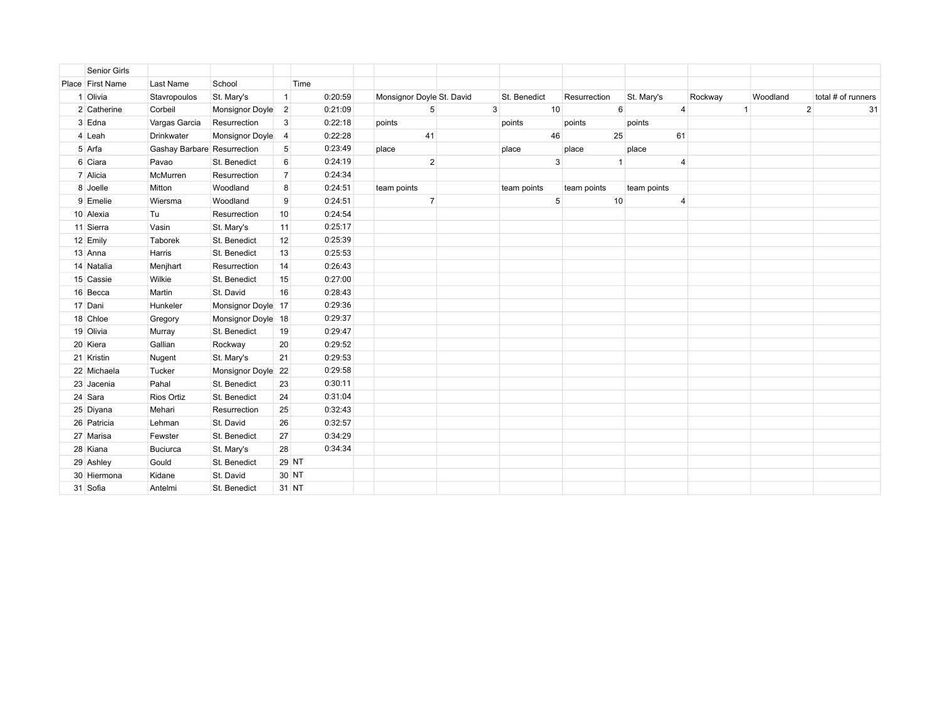| <b>Senior Girls</b> |                             |                    |                |         |                           |              |    |              |             |                |              |          |                    |    |
|---------------------|-----------------------------|--------------------|----------------|---------|---------------------------|--------------|----|--------------|-------------|----------------|--------------|----------|--------------------|----|
| Place First Name    | Last Name                   | School             |                | Time    |                           |              |    |              |             |                |              |          |                    |    |
| 1 Olivia            | Stavropoulos                | St. Mary's         | $\vert$ 1      | 0:20:59 | Monsignor Doyle St. David | St. Benedict |    | Resurrection | St. Mary's  |                | Rockway      | Woodland | total # of runners |    |
| 2 Catherine         | Corbeil                     | Monsignor Doyle 2  |                | 0:21:09 | 5                         | 3            | 10 | 6            |             | $\overline{4}$ | $\mathbf{1}$ |          | $2 \overline{ }$   | 31 |
| 3 Edna              | Vargas Garcia               | Resurrection       | 3              | 0:22:18 | points                    | points       |    | points       | points      |                |              |          |                    |    |
| 4 Leah              | Drinkwater                  | Monsignor Doyle 4  |                | 0:22:28 | 41                        |              | 46 | 25           |             | 61             |              |          |                    |    |
| 5 Arfa              | Gashay Barbare Resurrection |                    | 5              | 0:23:49 | place                     | place        |    | place        | place       |                |              |          |                    |    |
| 6 Ciara             | Pavao                       | St. Benedict       | 6              | 0:24:19 | $\overline{2}$            |              | 3  | $\mathbf{1}$ |             | $\overline{4}$ |              |          |                    |    |
| 7 Alicia            | McMurren                    | Resurrection       | 7 <sup>1</sup> | 0:24:34 |                           |              |    |              |             |                |              |          |                    |    |
| 8 Joelle            | Mitton                      | Woodland           | 8              | 0:24:51 | team points               | team points  |    | team points  | team points |                |              |          |                    |    |
| 9 Emelie            | Wiersma                     | Woodland           | 9              | 0:24:51 | $\overline{7}$            |              | 5  | 10           |             | $\overline{4}$ |              |          |                    |    |
| 10 Alexia           | Tu                          | Resurrection       | 10             | 0:24:54 |                           |              |    |              |             |                |              |          |                    |    |
| 11 Sierra           | Vasin                       | St. Mary's         | 11             | 0:25:17 |                           |              |    |              |             |                |              |          |                    |    |
| 12 Emily            | Taborek                     | St. Benedict       | 12             | 0:25:39 |                           |              |    |              |             |                |              |          |                    |    |
| 13 Anna             | Harris                      | St. Benedict       | 13             | 0:25:53 |                           |              |    |              |             |                |              |          |                    |    |
| 14 Natalia          | Menjhart                    | Resurrection       | 14             | 0:26:43 |                           |              |    |              |             |                |              |          |                    |    |
| 15 Cassie           | Wilkie                      | St. Benedict       | 15             | 0:27:00 |                           |              |    |              |             |                |              |          |                    |    |
| 16 Becca            | Martin                      | St. David          | 16             | 0:28:43 |                           |              |    |              |             |                |              |          |                    |    |
| 17 Dani             | Hunkeler                    | Monsignor Doyle 17 |                | 0:29:36 |                           |              |    |              |             |                |              |          |                    |    |
| 18 Chloe            | Gregory                     | Monsignor Doyle 18 |                | 0:29:37 |                           |              |    |              |             |                |              |          |                    |    |
| 19 Olivia           | Murray                      | St. Benedict       | 19             | 0:29:47 |                           |              |    |              |             |                |              |          |                    |    |
| 20 Kiera            | Gallian                     | Rockway            | 20             | 0:29:52 |                           |              |    |              |             |                |              |          |                    |    |
| 21 Kristin          | Nugent                      | St. Mary's         | 21             | 0:29:53 |                           |              |    |              |             |                |              |          |                    |    |
| 22 Michaela         | Tucker                      | Monsignor Doyle 22 |                | 0:29:58 |                           |              |    |              |             |                |              |          |                    |    |
| 23 Jacenia          | Pahal                       | St. Benedict       | 23             | 0:30:11 |                           |              |    |              |             |                |              |          |                    |    |
| 24 Sara             | Rios Ortiz                  | St. Benedict       | 24             | 0:31:04 |                           |              |    |              |             |                |              |          |                    |    |
| 25 Diyana           | Mehari                      | Resurrection       | 25             | 0:32:43 |                           |              |    |              |             |                |              |          |                    |    |
| 26 Patricia         | Lehman                      | St. David          | 26             | 0:32:57 |                           |              |    |              |             |                |              |          |                    |    |
| 27 Marisa           | Fewster                     | St. Benedict       | 27             | 0:34:29 |                           |              |    |              |             |                |              |          |                    |    |
| 28 Kiana            | Buciurca                    | St. Mary's         | 28             | 0:34:34 |                           |              |    |              |             |                |              |          |                    |    |
| 29 Ashley           | Gould                       | St. Benedict       |                | 29 NT   |                           |              |    |              |             |                |              |          |                    |    |
| 30 Hiermona         | Kidane                      | St. David          |                | 30 NT   |                           |              |    |              |             |                |              |          |                    |    |
| 31 Sofia            | Antelmi                     | St. Benedict       | 31 NT          |         |                           |              |    |              |             |                |              |          |                    |    |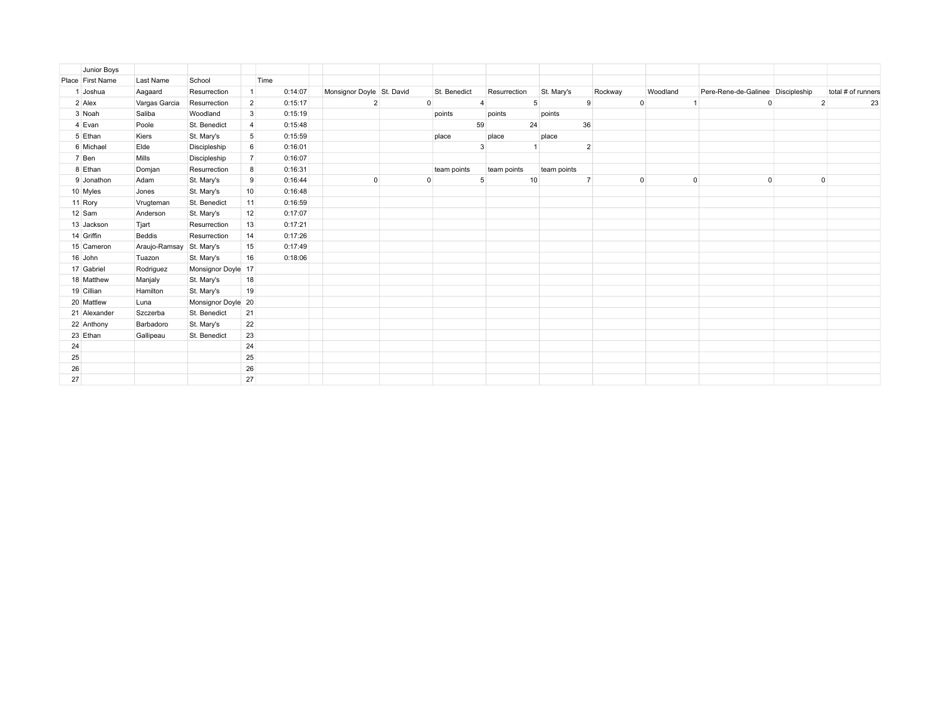|    | Junior Boys      |               |                    |                 |         |                           |              |                |             |                |                |                |                                   |                |                    |
|----|------------------|---------------|--------------------|-----------------|---------|---------------------------|--------------|----------------|-------------|----------------|----------------|----------------|-----------------------------------|----------------|--------------------|
|    | Place First Name | Last Name     | School             |                 | Time    |                           |              |                |             |                |                |                |                                   |                |                    |
|    | 1 Joshua         | Aagaard       | Resurrection       | $\mathbf{1}$    | 0:14:07 | Monsignor Doyle St. David | St. Benedict | Resurrection   | St. Mary's  |                | Rockway        | Woodland       | Pere-Rene-de-Galinee Discipleship |                | total # of runners |
|    | 2 Alex           | Vargas Garcia | Resurrection       | $\overline{2}$  | 0:15:17 | $\overline{2}$            | $\mathbf{0}$ | $\overline{4}$ | 5           | 9              | $\overline{0}$ | $\overline{1}$ | $\mathbf{0}$                      | $\overline{2}$ | 23                 |
|    | 3 Noah           | Saliba        | Woodland           | $\mathbf{3}$    | 0:15:19 |                           | points       | points         | points      |                |                |                |                                   |                |                    |
|    | 4 Evan           | Poole         | St. Benedict       | $\overline{4}$  | 0:15:48 |                           |              | 59             | 24          | 36             |                |                |                                   |                |                    |
|    | 5 Ethan          | Kiers         | St. Mary's         | $5\overline{)}$ | 0:15:59 |                           | place        | place          | place       |                |                |                |                                   |                |                    |
|    | 6 Michael        | Elde          | Discipleship       | 6               | 0:16:01 |                           |              | 3              |             | $\overline{2}$ |                |                |                                   |                |                    |
|    | 7 Ben            | Mills         | Discipleship       | $\overline{7}$  | 0:16:07 |                           |              |                |             |                |                |                |                                   |                |                    |
|    | 8 Ethan          | Domjan        | Resurrection       | 8               | 0:16:31 |                           | team points  | team points    | team points |                |                |                |                                   |                |                    |
|    | 9 Jonathon       | Adam          | St. Mary's         | 9               | 0:16:44 | $\mathbf 0$               | 0            | 5              | 10          |                | $\Omega$       | $\Omega$       | $\Omega$                          | 0              |                    |
|    | 10 Myles         | Jones         | St. Mary's         | 10 <sup>1</sup> | 0:16:48 |                           |              |                |             |                |                |                |                                   |                |                    |
|    | 11 Rory          | Vrugteman     | St. Benedict       | 11              | 0:16:59 |                           |              |                |             |                |                |                |                                   |                |                    |
|    | 12 Sam           | Anderson      | St. Mary's         | 12              | 0:17:07 |                           |              |                |             |                |                |                |                                   |                |                    |
|    | 13 Jackson       | Tjart         | Resurrection       | 13              | 0:17:21 |                           |              |                |             |                |                |                |                                   |                |                    |
|    | 14 Griffin       | Beddis        | Resurrection       | 14              | 0:17:26 |                           |              |                |             |                |                |                |                                   |                |                    |
|    | 15 Cameron       | Araujo-Ramsay | St. Mary's         | 15              | 0:17:49 |                           |              |                |             |                |                |                |                                   |                |                    |
|    | 16 John          | Tuazon        | St. Mary's         | 16              | 0:18:06 |                           |              |                |             |                |                |                |                                   |                |                    |
|    | 17 Gabriel       | Rodriguez     | Monsignor Doyle 17 |                 |         |                           |              |                |             |                |                |                |                                   |                |                    |
|    | 18 Matthew       | Manjaly       | St. Mary's         | 18              |         |                           |              |                |             |                |                |                |                                   |                |                    |
|    | 19 Cillian       | Hamilton      | St. Mary's         | 19              |         |                           |              |                |             |                |                |                |                                   |                |                    |
|    | 20 Mattlew       | Luna          | Monsignor Doyle 20 |                 |         |                           |              |                |             |                |                |                |                                   |                |                    |
|    | 21 Alexander     | Szczerba      | St. Benedict       | 21              |         |                           |              |                |             |                |                |                |                                   |                |                    |
|    | 22 Anthony       | Barbadoro     | St. Mary's         | 22              |         |                           |              |                |             |                |                |                |                                   |                |                    |
|    | 23 Ethan         | Gallipeau     | St. Benedict       | 23              |         |                           |              |                |             |                |                |                |                                   |                |                    |
| 24 |                  |               |                    | 24              |         |                           |              |                |             |                |                |                |                                   |                |                    |
| 25 |                  |               |                    | 25              |         |                           |              |                |             |                |                |                |                                   |                |                    |
| 26 |                  |               |                    | 26              |         |                           |              |                |             |                |                |                |                                   |                |                    |
| 27 |                  |               |                    | 27              |         |                           |              |                |             |                |                |                |                                   |                |                    |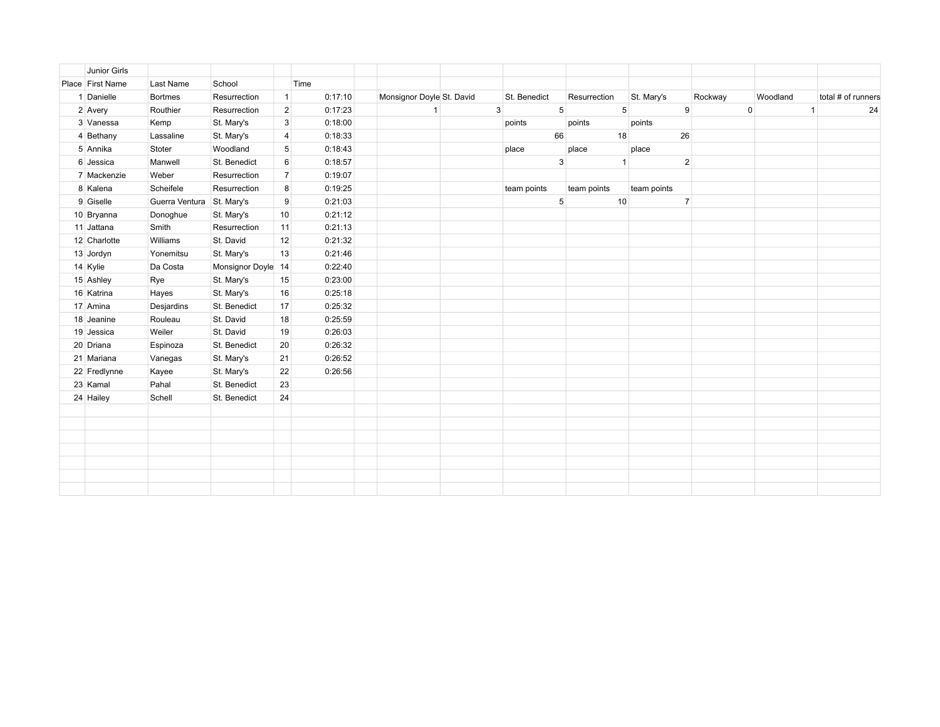| Junior Girls     |                |                    |                  |         |                           |              |                 |              |                 |                |             |              |                    |
|------------------|----------------|--------------------|------------------|---------|---------------------------|--------------|-----------------|--------------|-----------------|----------------|-------------|--------------|--------------------|
| Place First Name | Last Name      | School             |                  | Time    |                           |              |                 |              |                 |                |             |              |                    |
| 1 Danielle       | <b>Bortmes</b> | Resurrection       | $\vert$ 1        | 0:17:10 | Monsignor Doyle St. David | St. Benedict |                 | Resurrection | St. Mary's      |                | Rockway     | Woodland     | total # of runners |
| 2 Avery          | Routhier       | Resurrection       | 2 <sup>2</sup>   | 0:17:23 | $\mathbf{1}$              | 3            | 5 <sup>1</sup>  |              | $5\overline{)}$ | 9              | $\mathbf 0$ | $\mathbf{1}$ | 24                 |
| 3 Vanessa        | Kemp           | St. Mary's         | 3                | 0:18:00 |                           | points       |                 | points       | points          |                |             |              |                    |
| 4 Bethany        | Lassaline      | St. Mary's         | 4                | 0:18:33 |                           |              | 66              | 18           |                 | 26             |             |              |                    |
| 5 Annika         | Stoter         | Woodland           | 5 <sup>5</sup>   | 0:18:43 |                           | place        |                 | place        | place           |                |             |              |                    |
| 6 Jessica        | Manwell        | St. Benedict       | $6 \overline{6}$ | 0:18:57 |                           |              | 3 <sup>1</sup>  |              | $\mathbf{1}$    | $\overline{2}$ |             |              |                    |
| 7 Mackenzie      | Weber          | Resurrection       | $\overline{7}$   | 0:19:07 |                           |              |                 |              |                 |                |             |              |                    |
| 8 Kalena         | Scheifele      | Resurrection       | 8                | 0:19:25 |                           | team points  |                 | team points  | team points     |                |             |              |                    |
| 9 Giselle        | Guerra Ventura | St. Mary's         | 9                | 0:21:03 |                           |              | $5\phantom{.0}$ | 10           |                 | $\overline{7}$ |             |              |                    |
| 10 Bryanna       | Donoghue       | St. Mary's         | 10 <sup>1</sup>  | 0:21:12 |                           |              |                 |              |                 |                |             |              |                    |
| 11 Jattana       | Smith          | Resurrection       | 11               | 0:21:13 |                           |              |                 |              |                 |                |             |              |                    |
| 12 Charlotte     | Williams       | St. David          | 12               | 0:21:32 |                           |              |                 |              |                 |                |             |              |                    |
| 13 Jordyn        | Yonemitsu      | St. Mary's         | 13               | 0:21:46 |                           |              |                 |              |                 |                |             |              |                    |
| 14 Kylie         | Da Costa       | Monsignor Doyle 14 |                  | 0:22:40 |                           |              |                 |              |                 |                |             |              |                    |
| 15 Ashley        | Rye            | St. Mary's         | 15               | 0:23:00 |                           |              |                 |              |                 |                |             |              |                    |
| 16 Katrina       | Hayes          | St. Mary's         | 16               | 0:25:18 |                           |              |                 |              |                 |                |             |              |                    |
| 17 Amina         | Desjardins     | St. Benedict       | 17               | 0:25:32 |                           |              |                 |              |                 |                |             |              |                    |
| 18 Jeanine       | Rouleau        | St. David          | 18               | 0:25:59 |                           |              |                 |              |                 |                |             |              |                    |
| 19 Jessica       | Weiler         | St. David          | 19               | 0:26:03 |                           |              |                 |              |                 |                |             |              |                    |
| 20 Driana        | Espinoza       | St. Benedict       | 20               | 0:26:32 |                           |              |                 |              |                 |                |             |              |                    |
| 21 Mariana       | Vanegas        | St. Mary's         | 21               | 0:26:52 |                           |              |                 |              |                 |                |             |              |                    |
| 22 Fredlynne     | Kayee          | St. Mary's         | 22               | 0:26:56 |                           |              |                 |              |                 |                |             |              |                    |
| 23 Kamal         | Pahal          | St. Benedict       | 23               |         |                           |              |                 |              |                 |                |             |              |                    |
| 24 Hailey        | Schell         | St. Benedict       | 24               |         |                           |              |                 |              |                 |                |             |              |                    |
|                  |                |                    |                  |         |                           |              |                 |              |                 |                |             |              |                    |
|                  |                |                    |                  |         |                           |              |                 |              |                 |                |             |              |                    |
|                  |                |                    |                  |         |                           |              |                 |              |                 |                |             |              |                    |
|                  |                |                    |                  |         |                           |              |                 |              |                 |                |             |              |                    |
|                  |                |                    |                  |         |                           |              |                 |              |                 |                |             |              |                    |
|                  |                |                    |                  |         |                           |              |                 |              |                 |                |             |              |                    |
|                  |                |                    |                  |         |                           |              |                 |              |                 |                |             |              |                    |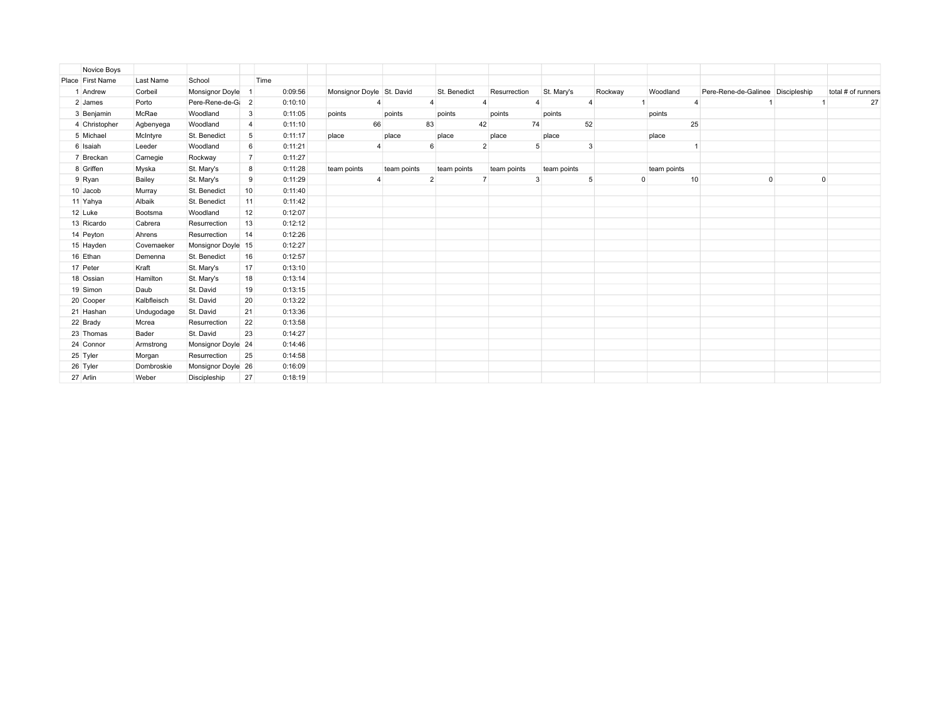| Novice Boys      |             |                    |                  |         |                           |             |              |                         |                |               |             |                                   |   |                    |
|------------------|-------------|--------------------|------------------|---------|---------------------------|-------------|--------------|-------------------------|----------------|---------------|-------------|-----------------------------------|---|--------------------|
| Place First Name | Last Name   | School             |                  | Time    |                           |             |              |                         |                |               |             |                                   |   |                    |
| 1 Andrew         | Corbeil     | Monsignor Doyle    | -1               | 0:09:56 | Monsignor Doyle St. David |             | St. Benedict | Resurrection            | St. Mary's     | Rockway       | Woodland    | Pere-Rene-de-Galinee Discipleship |   | total # of runners |
| 2 James          | Porto       | Pere-Rene-de-G     | $\overline{2}$   | 0:10:10 |                           |             | 4            | $\overline{\mathbf{A}}$ | $\overline{4}$ |               |             |                                   |   | 27                 |
| 3 Benjamin       | McRae       | Woodland           | $\mathbf{3}$     | 0:11:05 | points                    | points      | points       | points                  | points         |               | points      |                                   |   |                    |
| 4 Christopher    | Agbenyega   | Woodland           | 4                | 0:11:10 | 66                        |             | 83<br>42     | 74                      | 52             |               | 25          |                                   |   |                    |
| 5 Michael        | McIntyre    | St. Benedict       | 5                | 0:11:17 | place                     | place       | place        | place                   | place          |               | place       |                                   |   |                    |
| 6 Isaiah         | Leeder      | Woodland           | $6 \overline{6}$ | 0:11:21 |                           |             | 6            | $\overline{2}$          |                | 3             |             |                                   |   |                    |
| 7 Breckan        | Carnegie    | Rockway            | $\overline{7}$   | 0:11:27 |                           |             |              |                         |                |               |             |                                   |   |                    |
| 8 Griffen        | Myska       | St. Mary's         | 8                | 0:11:28 | team points               | team points | team points  | team points             | team points    |               | team points |                                   |   |                    |
| 9 Ryan           | Bailey      | St. Mary's         | 9                | 0:11:29 |                           |             | 2            | $\overline{7}$          |                | 5<br>$\Omega$ | 10          | 0                                 | 0 |                    |
| 10 Jacob         | Murray      | St. Benedict       | 10 <sup>1</sup>  | 0:11:40 |                           |             |              |                         |                |               |             |                                   |   |                    |
| 11 Yahya         | Albaik      | St. Benedict       | 11               | 0:11:42 |                           |             |              |                         |                |               |             |                                   |   |                    |
| 12 Luke          | Bootsma     | Woodland           | 12 <sup>1</sup>  | 0:12:07 |                           |             |              |                         |                |               |             |                                   |   |                    |
| 13 Ricardo       | Cabrera     | Resurrection       | 13               | 0:12:12 |                           |             |              |                         |                |               |             |                                   |   |                    |
| 14 Peyton        | Ahrens      | Resurrection       | 14               | 0:12:26 |                           |             |              |                         |                |               |             |                                   |   |                    |
| 15 Hayden        | Covemaeker  | Monsignor Doyle 15 |                  | 0:12:27 |                           |             |              |                         |                |               |             |                                   |   |                    |
| 16 Ethan         | Demenna     | St. Benedict       | 16               | 0:12:57 |                           |             |              |                         |                |               |             |                                   |   |                    |
| 17 Peter         | Kraft       | St. Mary's         | 17               | 0:13:10 |                           |             |              |                         |                |               |             |                                   |   |                    |
| 18 Ossian        | Hamilton    | St. Mary's         | 18               | 0:13:14 |                           |             |              |                         |                |               |             |                                   |   |                    |
| 19 Simon         | Daub        | St. David          | 19               | 0:13:15 |                           |             |              |                         |                |               |             |                                   |   |                    |
| 20 Cooper        | Kalbfleisch | St. David          | 20               | 0:13:22 |                           |             |              |                         |                |               |             |                                   |   |                    |
| 21 Hashan        | Undugodage  | St. David          | 21               | 0:13:36 |                           |             |              |                         |                |               |             |                                   |   |                    |
| 22 Brady         | Mcrea       | Resurrection       | 22               | 0:13:58 |                           |             |              |                         |                |               |             |                                   |   |                    |
| 23 Thomas        | Bader       | St. David          | 23               | 0:14:27 |                           |             |              |                         |                |               |             |                                   |   |                    |
| 24 Connor        | Armstrong   | Monsignor Doyle 24 |                  | 0:14:46 |                           |             |              |                         |                |               |             |                                   |   |                    |
| 25 Tyler         | Morgan      | Resurrection       | 25               | 0:14:58 |                           |             |              |                         |                |               |             |                                   |   |                    |
| 26 Tyler         | Dombroskie  | Monsignor Doyle 26 |                  | 0:16:09 |                           |             |              |                         |                |               |             |                                   |   |                    |
| 27 Arlin         | Weber       | Discipleship       | 27               | 0:18:19 |                           |             |              |                         |                |               |             |                                   |   |                    |